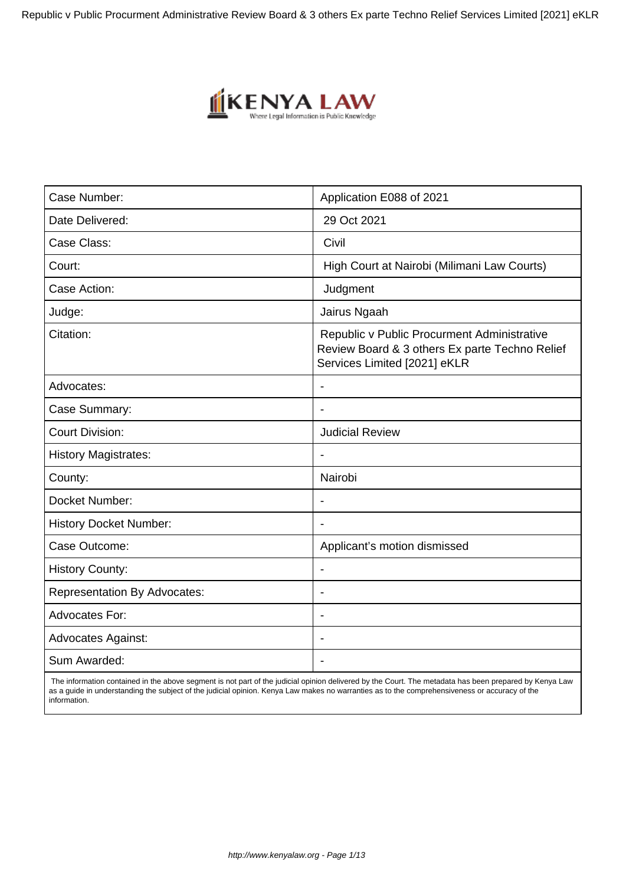Republic v Public Procurment Administrative Review Board & 3 others Ex parte Techno Relief Services Limited [2021] eKLR



| Case Number:                        | Application E088 of 2021                                                                                                      |
|-------------------------------------|-------------------------------------------------------------------------------------------------------------------------------|
| Date Delivered:                     | 29 Oct 2021                                                                                                                   |
| Case Class:                         | Civil                                                                                                                         |
| Court:                              | High Court at Nairobi (Milimani Law Courts)                                                                                   |
| Case Action:                        | Judgment                                                                                                                      |
| Judge:                              | Jairus Ngaah                                                                                                                  |
| Citation:                           | Republic v Public Procurment Administrative<br>Review Board & 3 others Ex parte Techno Relief<br>Services Limited [2021] eKLR |
| Advocates:                          |                                                                                                                               |
| Case Summary:                       | $\blacksquare$                                                                                                                |
| <b>Court Division:</b>              | <b>Judicial Review</b>                                                                                                        |
| <b>History Magistrates:</b>         |                                                                                                                               |
| County:                             | Nairobi                                                                                                                       |
| Docket Number:                      | $\blacksquare$                                                                                                                |
| <b>History Docket Number:</b>       |                                                                                                                               |
| Case Outcome:                       | Applicant's motion dismissed                                                                                                  |
| <b>History County:</b>              |                                                                                                                               |
| <b>Representation By Advocates:</b> | $\blacksquare$                                                                                                                |
| Advocates For:                      |                                                                                                                               |
| <b>Advocates Against:</b>           |                                                                                                                               |
| Sum Awarded:                        |                                                                                                                               |

 The information contained in the above segment is not part of the judicial opinion delivered by the Court. The metadata has been prepared by Kenya Law as a guide in understanding the subject of the judicial opinion. Kenya Law makes no warranties as to the comprehensiveness or accuracy of the information.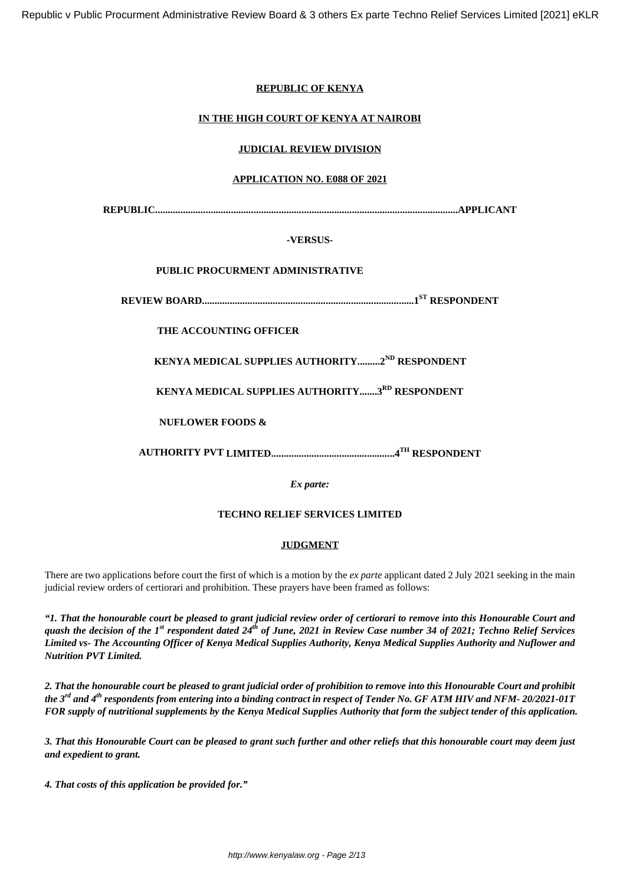# **REPUBLIC OF KENYA**

# **IN THE HIGH COURT OF KENYA AT NAIROBI**

### **JUDICIAL REVIEW DIVISION**

# **APPLICATION NO. E088 OF 2021**

**REPUBLIC........................................................................................................................APPLICANT**

# **-VERSUS-**

# **PUBLIC PROCURMENT ADMINISTRATIVE**

**REVIEW BOARD....................................................................................1ST RESPONDENT**

# **THE ACCOUNTING OFFICER**

**KENYA MEDICAL SUPPLIES AUTHORITY.........2ND RESPONDENT**

**KENYA MEDICAL SUPPLIES AUTHORITY.......3RD RESPONDENT**

**NUFLOWER FOODS &**

**AUTHORITY PVT LIMITED.................................................4TH RESPONDENT**

*Ex parte:*

# **TECHNO RELIEF SERVICES LIMITED**

### **JUDGMENT**

There are two applications before court the first of which is a motion by the *ex parte* applicant dated 2 July 2021 seeking in the main judicial review orders of certiorari and prohibition. These prayers have been framed as follows:

*"1. That the honourable court be pleased to grant judicial review order of certiorari to remove into this Honourable Court and quash the decision of the 1st respondent dated 24th of June, 2021 in Review Case number 34 of 2021; Techno Relief Services Limited vs- The Accounting Officer of Kenya Medical Supplies Authority, Kenya Medical Supplies Authority and Nuflower and Nutrition PVT Limited.*

*2. That the honourable court be pleased to grant judicial order of prohibition to remove into this Honourable Court and prohibit the 3rd and 4th respondents from entering into a binding contract in respect of Tender No. GF ATM HIV and NFM- 20/2021-01T FOR supply of nutritional supplements by the Kenya Medical Supplies Authority that form the subject tender of this application.*

*3. That this Honourable Court can be pleased to grant such further and other reliefs that this honourable court may deem just and expedient to grant.*

*4. That costs of this application be provided for."*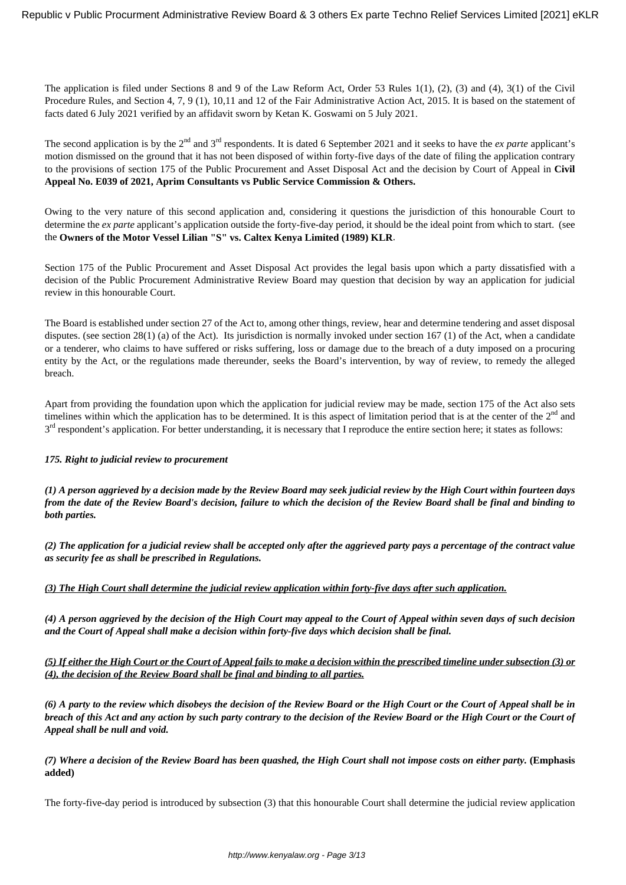The application is filed under Sections 8 and 9 of the Law Reform Act, Order 53 Rules 1(1), (2), (3) and (4), 3(1) of the Civil Procedure Rules, and Section 4, 7, 9 (1), 10,11 and 12 of the Fair Administrative Action Act, 2015. It is based on the statement of facts dated 6 July 2021 verified by an affidavit sworn by Ketan K. Goswami on 5 July 2021.

The second application is by the 2<sup>nd</sup> and 3<sup>rd</sup> respondents. It is dated 6 September 2021 and it seeks to have the *ex parte* applicant's motion dismissed on the ground that it has not been disposed of within forty-five days of the date of filing the application contrary to the provisions of section 175 of the Public Procurement and Asset Disposal Act and the decision by Court of Appeal in **Civil Appeal No. E039 of 2021, Aprim Consultants vs Public Service Commission & Others.**

Owing to the very nature of this second application and, considering it questions the jurisdiction of this honourable Court to determine the *ex parte* applicant's application outside the forty-five-day period, it should be the ideal point from which to start. (see the **Owners of the Motor Vessel Lilian "S" vs. Caltex Kenya Limited (1989) KLR**.

Section 175 of the Public Procurement and Asset Disposal Act provides the legal basis upon which a party dissatisfied with a decision of the Public Procurement Administrative Review Board may question that decision by way an application for judicial review in this honourable Court.

The Board is established under section 27 of the Act to, among other things, review, hear and determine tendering and asset disposal disputes. (see section 28(1) (a) of the Act). Its jurisdiction is normally invoked under section 167 (1) of the Act, when a candidate or a tenderer, who claims to have suffered or risks suffering, loss or damage due to the breach of a duty imposed on a procuring entity by the Act, or the regulations made thereunder, seeks the Board's intervention, by way of review, to remedy the alleged breach.

Apart from providing the foundation upon which the application for judicial review may be made, section 175 of the Act also sets timelines within which the application has to be determined. It is this aspect of limitation period that is at the center of the  $2<sup>nd</sup>$  and 3<sup>rd</sup> respondent's application. For better understanding, it is necessary that I reproduce the entire section here; it states as follows:

### *175. Right to judicial review to procurement*

*(1) A person aggrieved by a decision made by the Review Board may seek judicial review by the High Court within fourteen days from the date of the Review Board's decision, failure to which the decision of the Review Board shall be final and binding to both parties.*

*(2) The application for a judicial review shall be accepted only after the aggrieved party pays a percentage of the contract value as security fee as shall be prescribed in Regulations.* 

*(3) The High Court shall determine the judicial review application within forty-five days after such application.*

*(4) A person aggrieved by the decision of the High Court may appeal to the Court of Appeal within seven days of such decision and the Court of Appeal shall make a decision within forty-five days which decision shall be final.* 

*(5) If either the High Court or the Court of Appeal fails to make a decision within the prescribed timeline under subsection (3) or (4), the decision of the Review Board shall be final and binding to all parties.*

*(6) A party to the review which disobeys the decision of the Review Board or the High Court or the Court of Appeal shall be in breach of this Act and any action by such party contrary to the decision of the Review Board or the High Court or the Court of Appeal shall be null and void.* 

*(7) Where a decision of the Review Board has been quashed, the High Court shall not impose costs on either party.* **(Emphasis added)**

The forty-five-day period is introduced by subsection (3) that this honourable Court shall determine the judicial review application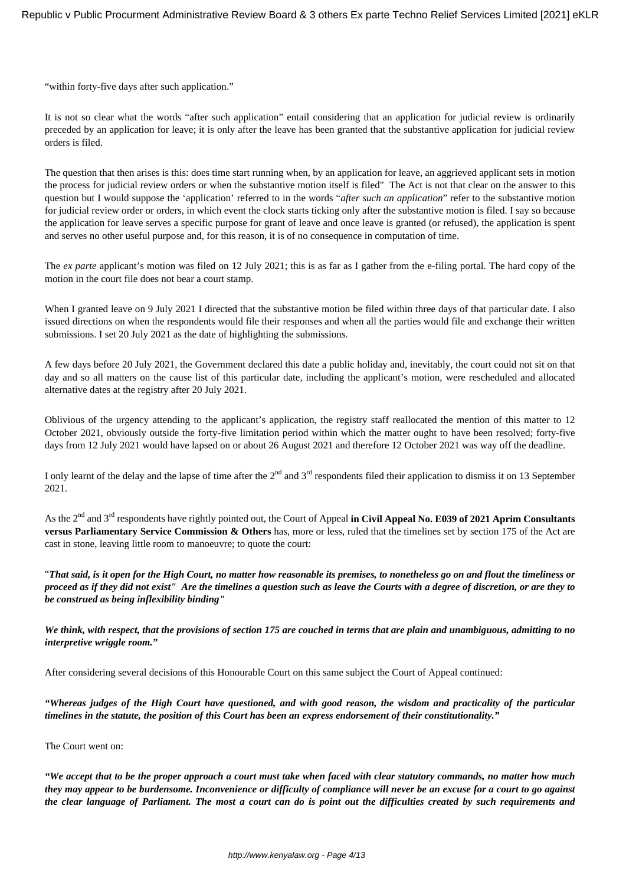"within forty-five days after such application."

It is not so clear what the words "after such application" entail considering that an application for judicial review is ordinarily preceded by an application for leave; it is only after the leave has been granted that the substantive application for judicial review orders is filed.

The question that then arises is this: does time start running when, by an application for leave, an aggrieved applicant sets in motion the process for judicial review orders or when the substantive motion itself is filed" The Act is not that clear on the answer to this question but I would suppose the 'application' referred to in the words "*after such an application*" refer to the substantive motion for judicial review order or orders, in which event the clock starts ticking only after the substantive motion is filed. I say so because the application for leave serves a specific purpose for grant of leave and once leave is granted (or refused), the application is spent and serves no other useful purpose and, for this reason, it is of no consequence in computation of time.

The *ex parte* applicant's motion was filed on 12 July 2021; this is as far as I gather from the e-filing portal. The hard copy of the motion in the court file does not bear a court stamp.

When I granted leave on 9 July 2021 I directed that the substantive motion be filed within three days of that particular date. I also issued directions on when the respondents would file their responses and when all the parties would file and exchange their written submissions. I set 20 July 2021 as the date of highlighting the submissions.

A few days before 20 July 2021, the Government declared this date a public holiday and, inevitably, the court could not sit on that day and so all matters on the cause list of this particular date, including the applicant's motion, were rescheduled and allocated alternative dates at the registry after 20 July 2021.

Oblivious of the urgency attending to the applicant's application, the registry staff reallocated the mention of this matter to 12 October 2021, obviously outside the forty-five limitation period within which the matter ought to have been resolved; forty-five days from 12 July 2021 would have lapsed on or about 26 August 2021 and therefore 12 October 2021 was way off the deadline.

I only learnt of the delay and the lapse of time after the  $2<sup>nd</sup>$  and  $3<sup>rd</sup>$  respondents filed their application to dismiss it on 13 September 2021.

As the 2nd and 3rd respondents have rightly pointed out, the Court of Appeal **in Civil Appeal No. E039 of 2021 Aprim Consultants versus Parliamentary Service Commission & Others** has, more or less, ruled that the timelines set by section 175 of the Act are cast in stone, leaving little room to manoeuvre; to quote the court:

"*That said, is it open for the High Court, no matter how reasonable its premises, to nonetheless go on and flout the timeliness or proceed as if they did not exist" Are the timelines a question such as leave the Courts with a degree of discretion, or are they to be construed as being inflexibility binding"* 

*We think, with respect, that the provisions of section 175 are couched in terms that are plain and unambiguous, admitting to no interpretive wriggle room."*

After considering several decisions of this Honourable Court on this same subject the Court of Appeal continued:

*"Whereas judges of the High Court have questioned, and with good reason, the wisdom and practicality of the particular timelines in the statute, the position of this Court has been an express endorsement of their constitutionality."* 

#### The Court went on:

*"We accept that to be the proper approach a court must take when faced with clear statutory commands, no matter how much they may appear to be burdensome. Inconvenience or difficulty of compliance will never be an excuse for a court to go against the clear language of Parliament. The most a court can do is point out the difficulties created by such requirements and*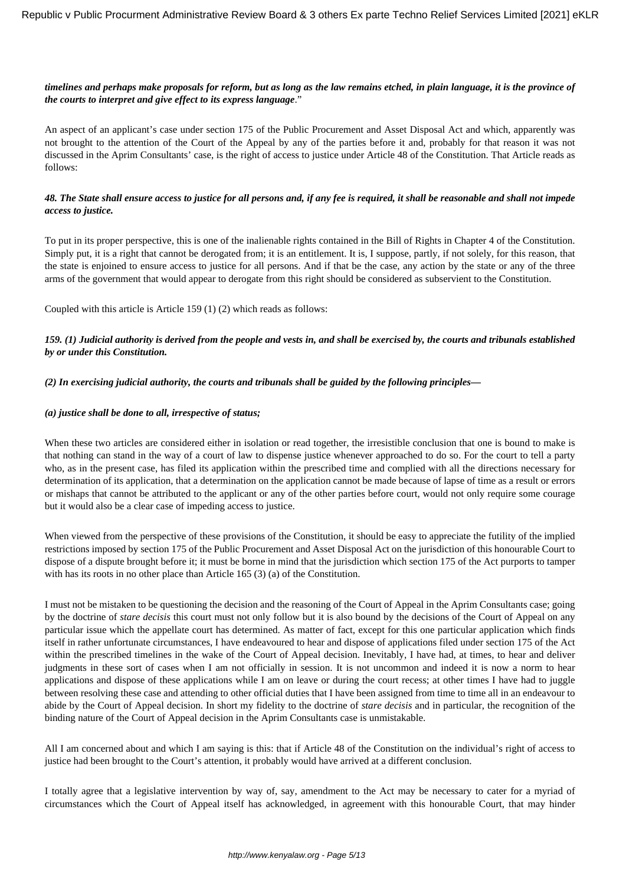# *timelines and perhaps make proposals for reform, but as long as the law remains etched, in plain language, it is the province of the courts to interpret and give effect to its express language*."

An aspect of an applicant's case under section 175 of the Public Procurement and Asset Disposal Act and which, apparently was not brought to the attention of the Court of the Appeal by any of the parties before it and, probably for that reason it was not discussed in the Aprim Consultants' case, is the right of access to justice under Article 48 of the Constitution. That Article reads as follows:

### *48. The State shall ensure access to justice for all persons and, if any fee is required, it shall be reasonable and shall not impede access to justice.*

To put in its proper perspective, this is one of the inalienable rights contained in the Bill of Rights in Chapter 4 of the Constitution. Simply put, it is a right that cannot be derogated from; it is an entitlement. It is, I suppose, partly, if not solely, for this reason, that the state is enjoined to ensure access to justice for all persons. And if that be the case, any action by the state or any of the three arms of the government that would appear to derogate from this right should be considered as subservient to the Constitution.

Coupled with this article is Article 159 (1) (2) which reads as follows:

# *159. (1) Judicial authority is derived from the people and vests in, and shall be exercised by, the courts and tribunals established by or under this Constitution.*

*(2) In exercising judicial authority, the courts and tribunals shall be guided by the following principles—*

### *(a) justice shall be done to all, irrespective of status;*

When these two articles are considered either in isolation or read together, the irresistible conclusion that one is bound to make is that nothing can stand in the way of a court of law to dispense justice whenever approached to do so. For the court to tell a party who, as in the present case, has filed its application within the prescribed time and complied with all the directions necessary for determination of its application, that a determination on the application cannot be made because of lapse of time as a result or errors or mishaps that cannot be attributed to the applicant or any of the other parties before court, would not only require some courage but it would also be a clear case of impeding access to justice.

When viewed from the perspective of these provisions of the Constitution, it should be easy to appreciate the futility of the implied restrictions imposed by section 175 of the Public Procurement and Asset Disposal Act on the jurisdiction of this honourable Court to dispose of a dispute brought before it; it must be borne in mind that the jurisdiction which section 175 of the Act purports to tamper with has its roots in no other place than Article 165 (3) (a) of the Constitution.

I must not be mistaken to be questioning the decision and the reasoning of the Court of Appeal in the Aprim Consultants case; going by the doctrine of *stare decisis* this court must not only follow but it is also bound by the decisions of the Court of Appeal on any particular issue which the appellate court has determined. As matter of fact, except for this one particular application which finds itself in rather unfortunate circumstances, I have endeavoured to hear and dispose of applications filed under section 175 of the Act within the prescribed timelines in the wake of the Court of Appeal decision. Inevitably, I have had, at times, to hear and deliver judgments in these sort of cases when I am not officially in session. It is not uncommon and indeed it is now a norm to hear applications and dispose of these applications while I am on leave or during the court recess; at other times I have had to juggle between resolving these case and attending to other official duties that I have been assigned from time to time all in an endeavour to abide by the Court of Appeal decision. In short my fidelity to the doctrine of *stare decisis* and in particular, the recognition of the binding nature of the Court of Appeal decision in the Aprim Consultants case is unmistakable.

All I am concerned about and which I am saying is this: that if Article 48 of the Constitution on the individual's right of access to justice had been brought to the Court's attention, it probably would have arrived at a different conclusion.

I totally agree that a legislative intervention by way of, say, amendment to the Act may be necessary to cater for a myriad of circumstances which the Court of Appeal itself has acknowledged, in agreement with this honourable Court, that may hinder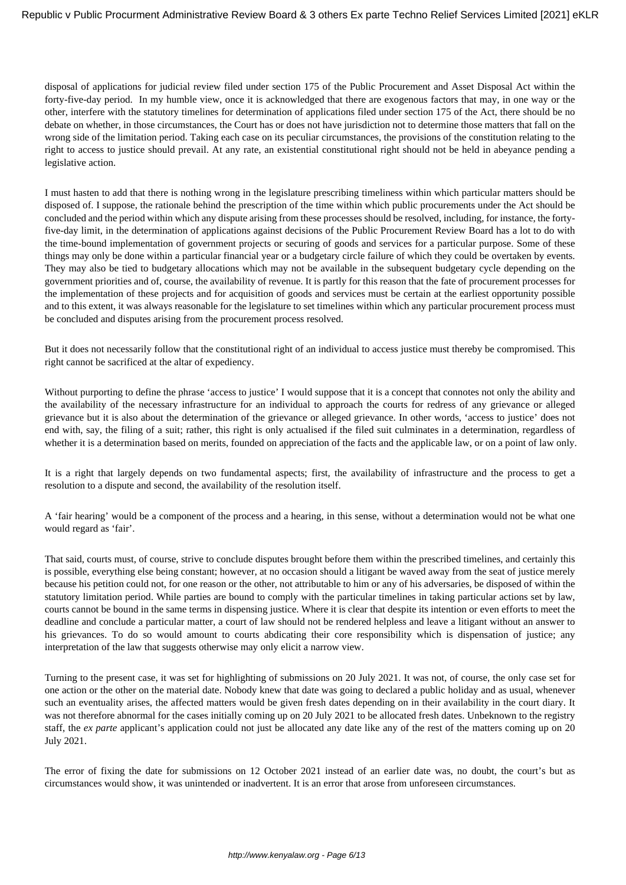disposal of applications for judicial review filed under section 175 of the Public Procurement and Asset Disposal Act within the forty-five-day period. In my humble view, once it is acknowledged that there are exogenous factors that may, in one way or the other, interfere with the statutory timelines for determination of applications filed under section 175 of the Act, there should be no debate on whether, in those circumstances, the Court has or does not have jurisdiction not to determine those matters that fall on the wrong side of the limitation period. Taking each case on its peculiar circumstances, the provisions of the constitution relating to the right to access to justice should prevail. At any rate, an existential constitutional right should not be held in abeyance pending a legislative action.

I must hasten to add that there is nothing wrong in the legislature prescribing timeliness within which particular matters should be disposed of. I suppose, the rationale behind the prescription of the time within which public procurements under the Act should be concluded and the period within which any dispute arising from these processes should be resolved, including, for instance, the fortyfive-day limit, in the determination of applications against decisions of the Public Procurement Review Board has a lot to do with the time-bound implementation of government projects or securing of goods and services for a particular purpose. Some of these things may only be done within a particular financial year or a budgetary circle failure of which they could be overtaken by events. They may also be tied to budgetary allocations which may not be available in the subsequent budgetary cycle depending on the government priorities and of, course, the availability of revenue. It is partly for this reason that the fate of procurement processes for the implementation of these projects and for acquisition of goods and services must be certain at the earliest opportunity possible and to this extent, it was always reasonable for the legislature to set timelines within which any particular procurement process must be concluded and disputes arising from the procurement process resolved.

But it does not necessarily follow that the constitutional right of an individual to access justice must thereby be compromised. This right cannot be sacrificed at the altar of expediency.

Without purporting to define the phrase 'access to justice' I would suppose that it is a concept that connotes not only the ability and the availability of the necessary infrastructure for an individual to approach the courts for redress of any grievance or alleged grievance but it is also about the determination of the grievance or alleged grievance. In other words, 'access to justice' does not end with, say, the filing of a suit; rather, this right is only actualised if the filed suit culminates in a determination, regardless of whether it is a determination based on merits, founded on appreciation of the facts and the applicable law, or on a point of law only.

It is a right that largely depends on two fundamental aspects; first, the availability of infrastructure and the process to get a resolution to a dispute and second, the availability of the resolution itself.

A 'fair hearing' would be a component of the process and a hearing, in this sense, without a determination would not be what one would regard as 'fair'.

That said, courts must, of course, strive to conclude disputes brought before them within the prescribed timelines, and certainly this is possible, everything else being constant; however, at no occasion should a litigant be waved away from the seat of justice merely because his petition could not, for one reason or the other, not attributable to him or any of his adversaries, be disposed of within the statutory limitation period. While parties are bound to comply with the particular timelines in taking particular actions set by law, courts cannot be bound in the same terms in dispensing justice. Where it is clear that despite its intention or even efforts to meet the deadline and conclude a particular matter, a court of law should not be rendered helpless and leave a litigant without an answer to his grievances. To do so would amount to courts abdicating their core responsibility which is dispensation of justice; any interpretation of the law that suggests otherwise may only elicit a narrow view.

Turning to the present case, it was set for highlighting of submissions on 20 July 2021. It was not, of course, the only case set for one action or the other on the material date. Nobody knew that date was going to declared a public holiday and as usual, whenever such an eventuality arises, the affected matters would be given fresh dates depending on in their availability in the court diary. It was not therefore abnormal for the cases initially coming up on 20 July 2021 to be allocated fresh dates. Unbeknown to the registry staff, the *ex parte* applicant's application could not just be allocated any date like any of the rest of the matters coming up on 20 July 2021.

The error of fixing the date for submissions on 12 October 2021 instead of an earlier date was, no doubt, the court's but as circumstances would show, it was unintended or inadvertent. It is an error that arose from unforeseen circumstances.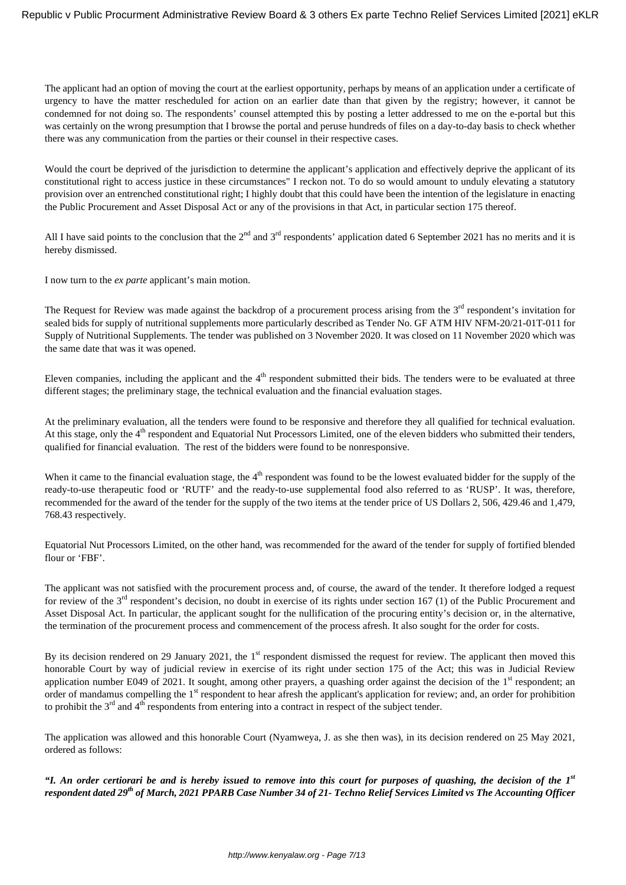The applicant had an option of moving the court at the earliest opportunity, perhaps by means of an application under a certificate of urgency to have the matter rescheduled for action on an earlier date than that given by the registry; however, it cannot be condemned for not doing so. The respondents' counsel attempted this by posting a letter addressed to me on the e-portal but this was certainly on the wrong presumption that I browse the portal and peruse hundreds of files on a day-to-day basis to check whether there was any communication from the parties or their counsel in their respective cases.

Would the court be deprived of the jurisdiction to determine the applicant's application and effectively deprive the applicant of its constitutional right to access justice in these circumstances" I reckon not. To do so would amount to unduly elevating a statutory provision over an entrenched constitutional right; I highly doubt that this could have been the intention of the legislature in enacting the Public Procurement and Asset Disposal Act or any of the provisions in that Act, in particular section 175 thereof.

All I have said points to the conclusion that the  $2^{nd}$  and  $3^{rd}$  respondents' application dated 6 September 2021 has no merits and it is hereby dismissed.

I now turn to the *ex parte* applicant's main motion.

The Request for Review was made against the backdrop of a procurement process arising from the 3<sup>rd</sup> respondent's invitation for sealed bids for supply of nutritional supplements more particularly described as Tender No. GF ATM HIV NFM-20/21-01T-011 for Supply of Nutritional Supplements. The tender was published on 3 November 2020. It was closed on 11 November 2020 which was the same date that was it was opened.

Eleven companies, including the applicant and the 4<sup>th</sup> respondent submitted their bids. The tenders were to be evaluated at three different stages; the preliminary stage, the technical evaluation and the financial evaluation stages.

At the preliminary evaluation, all the tenders were found to be responsive and therefore they all qualified for technical evaluation. At this stage, only the 4<sup>th</sup> respondent and Equatorial Nut Processors Limited, one of the eleven bidders who submitted their tenders, qualified for financial evaluation. The rest of the bidders were found to be nonresponsive.

When it came to the financial evaluation stage, the 4<sup>th</sup> respondent was found to be the lowest evaluated bidder for the supply of the ready-to-use therapeutic food or 'RUTF' and the ready-to-use supplemental food also referred to as 'RUSP'. It was, therefore, recommended for the award of the tender for the supply of the two items at the tender price of US Dollars 2, 506, 429.46 and 1,479, 768.43 respectively.

Equatorial Nut Processors Limited, on the other hand, was recommended for the award of the tender for supply of fortified blended flour or 'FBF'.

The applicant was not satisfied with the procurement process and, of course, the award of the tender. It therefore lodged a request for review of the  $3<sup>rd</sup>$  respondent's decision, no doubt in exercise of its rights under section 167 (1) of the Public Procurement and Asset Disposal Act. In particular, the applicant sought for the nullification of the procuring entity's decision or, in the alternative, the termination of the procurement process and commencement of the process afresh. It also sought for the order for costs.

By its decision rendered on 29 January 2021, the 1<sup>st</sup> respondent dismissed the request for review. The applicant then moved this honorable Court by way of judicial review in exercise of its right under section 175 of the Act; this was in Judicial Review application number E049 of 2021. It sought, among other prayers, a quashing order against the decision of the  $1<sup>st</sup>$  respondent; an order of mandamus compelling the 1<sup>st</sup> respondent to hear afresh the applicant's application for review; and, an order for prohibition to prohibit the  $3<sup>rd</sup>$  and  $4<sup>th</sup>$  respondents from entering into a contract in respect of the subject tender.

The application was allowed and this honorable Court (Nyamweya, J. as she then was), in its decision rendered on 25 May 2021, ordered as follows:

*"I. An order certiorari be and is hereby issued to remove into this court for purposes of quashing, the decision of the 1st respondent dated 29th of March, 2021 PPARB Case Number 34 of 21- Techno Relief Services Limited vs The Accounting Officer*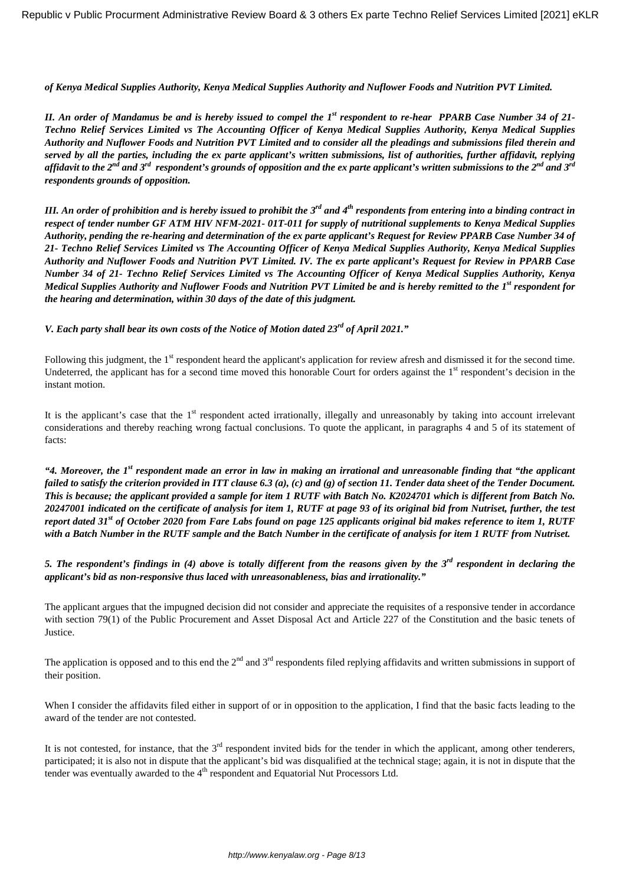*of Kenya Medical Supplies Authority, Kenya Medical Supplies Authority and Nuflower Foods and Nutrition PVT Limited.*

*II. An order of Mandamus be and is hereby issued to compel the 1st respondent to re-hear PPARB Case Number 34 of 21- Techno Relief Services Limited vs The Accounting Officer of Kenya Medical Supplies Authority, Kenya Medical Supplies Authority and Nuflower Foods and Nutrition PVT Limited and to consider all the pleadings and submissions filed therein and served by all the parties, including the ex parte applicant's written submissions, list of authorities, further affidavit, replying affidavit to the 2nd and 3rd respondent's grounds of opposition and the ex parte applicant's written submissions to the 2nd and 3rd respondents grounds of opposition.*

*III. An order of prohibition and is hereby issued to prohibit the 3rd and 4th respondents from entering into a binding contract in respect of tender number GF ATM HIV NFM-2021- 01T-011 for supply of nutritional supplements to Kenya Medical Supplies Authority, pending the re-hearing and determination of the ex parte applicant's Request for Review PPARB Case Number 34 of 21- Techno Relief Services Limited vs The Accounting Officer of Kenya Medical Supplies Authority, Kenya Medical Supplies Authority and Nuflower Foods and Nutrition PVT Limited. IV. The ex parte applicant's Request for Review in PPARB Case Number 34 of 21- Techno Relief Services Limited vs The Accounting Officer of Kenya Medical Supplies Authority, Kenya Medical Supplies Authority and Nuflower Foods and Nutrition PVT Limited be and is hereby remitted to the 1st respondent for the hearing and determination, within 30 days of the date of this judgment.*

*V. Each party shall bear its own costs of the Notice of Motion dated 23rd of April 2021."*

Following this judgment, the 1<sup>st</sup> respondent heard the applicant's application for review afresh and dismissed it for the second time. Undeterred, the applicant has for a second time moved this honorable Court for orders against the  $1<sup>st</sup>$  respondent's decision in the instant motion.

It is the applicant's case that the  $1<sup>st</sup>$  respondent acted irrationally, illegally and unreasonably by taking into account irrelevant considerations and thereby reaching wrong factual conclusions. To quote the applicant, in paragraphs 4 and 5 of its statement of facts:

*"4. Moreover, the 1st respondent made an error in law in making an irrational and unreasonable finding that "the applicant failed to satisfy the criterion provided in ITT clause 6.3 (a), (c) and (g) of section 11. Tender data sheet of the Tender Document. This is because; the applicant provided a sample for item 1 RUTF with Batch No. K2024701 which is different from Batch No. 20247001 indicated on the certificate of analysis for item 1, RUTF at page 93 of its original bid from Nutriset, further, the test report dated 31st of October 2020 from Fare Labs found on page 125 applicants original bid makes reference to item 1, RUTF with a Batch Number in the RUTF sample and the Batch Number in the certificate of analysis for item 1 RUTF from Nutriset.*

*5. The respondent's findings in (4) above is totally different from the reasons given by the 3rd respondent in declaring the applicant's bid as non-responsive thus laced with unreasonableness, bias and irrationality."* 

The applicant argues that the impugned decision did not consider and appreciate the requisites of a responsive tender in accordance with section 79(1) of the Public Procurement and Asset Disposal Act and Article 227 of the Constitution and the basic tenets of Justice.

The application is opposed and to this end the  $2^{nd}$  and  $3^{rd}$  respondents filed replying affidavits and written submissions in support of their position.

When I consider the affidavits filed either in support of or in opposition to the application, I find that the basic facts leading to the award of the tender are not contested.

It is not contested, for instance, that the  $3<sup>rd</sup>$  respondent invited bids for the tender in which the applicant, among other tenderers, participated; it is also not in dispute that the applicant's bid was disqualified at the technical stage; again, it is not in dispute that the tender was eventually awarded to the  $4<sup>th</sup>$  respondent and Equatorial Nut Processors Ltd.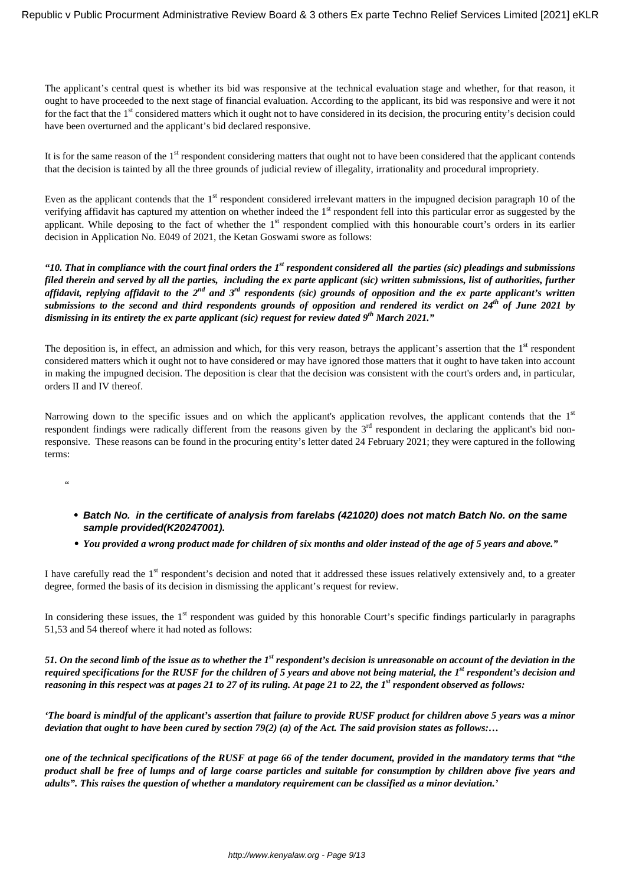The applicant's central quest is whether its bid was responsive at the technical evaluation stage and whether, for that reason, it ought to have proceeded to the next stage of financial evaluation. According to the applicant, its bid was responsive and were it not for the fact that the 1<sup>st</sup> considered matters which it ought not to have considered in its decision, the procuring entity's decision could have been overturned and the applicant's bid declared responsive.

It is for the same reason of the 1<sup>st</sup> respondent considering matters that ought not to have been considered that the applicant contends that the decision is tainted by all the three grounds of judicial review of illegality, irrationality and procedural impropriety.

Even as the applicant contends that the 1<sup>st</sup> respondent considered irrelevant matters in the impugned decision paragraph 10 of the verifying affidavit has captured my attention on whether indeed the  $1<sup>st</sup>$  respondent fell into this particular error as suggested by the applicant. While deposing to the fact of whether the 1<sup>st</sup> respondent complied with this honourable court's orders in its earlier decision in Application No. E049 of 2021, the Ketan Goswami swore as follows:

*"10. That in compliance with the court final orders the 1st respondent considered all the parties (sic) pleadings and submissions filed therein and served by all the parties, including the ex parte applicant (sic) written submissions, list of authorities, further affidavit, replying affidavit to the 2nd and 3rd respondents (sic) grounds of opposition and the ex parte applicant's written submissions to the second and third respondents grounds of opposition and rendered its verdict on 24th of June 2021 by dismissing in its entirety the ex parte applicant (sic) request for review dated 9th March 2021."*

The deposition is, in effect, an admission and which, for this very reason, betrays the applicant's assertion that the 1<sup>st</sup> respondent considered matters which it ought not to have considered or may have ignored those matters that it ought to have taken into account in making the impugned decision. The deposition is clear that the decision was consistent with the court's orders and, in particular, orders II and IV thereof.

Narrowing down to the specific issues and on which the applicant's application revolves, the applicant contends that the  $1<sup>st</sup>$ respondent findings were radically different from the reasons given by the  $3<sup>rd</sup>$  respondent in declaring the applicant's bid nonresponsive. These reasons can be found in the procuring entity's letter dated 24 February 2021; they were captured in the following terms:

- "
	- **Batch No. in the certificate of analysis from farelabs (421020) does not match Batch No. on the same sample provided(K20247001).**
	- *You provided a wrong product made for children of six months and older instead of the age of 5 years and above."*

I have carefully read the 1<sup>st</sup> respondent's decision and noted that it addressed these issues relatively extensively and, to a greater degree, formed the basis of its decision in dismissing the applicant's request for review.

In considering these issues, the  $1<sup>st</sup>$  respondent was guided by this honorable Court's specific findings particularly in paragraphs 51,53 and 54 thereof where it had noted as follows:

*51. On the second limb of the issue as to whether the 1st respondent's decision is unreasonable on account of the deviation in the required specifications for the RUSF for the children of 5 years and above not being material, the 1st respondent's decision and reasoning in this respect was at pages 21 to 27 of its ruling. At page 21 to 22, the 1st respondent observed as follows:* 

*'The board is mindful of the applicant's assertion that failure to provide RUSF product for children above 5 years was a minor deviation that ought to have been cured by section 79(2) (a) of the Act. The said provision states as follows:…*

*one of the technical specifications of the RUSF at page 66 of the tender document, provided in the mandatory terms that "the product shall be free of lumps and of large coarse particles and suitable for consumption by children above five years and adults". This raises the question of whether a mandatory requirement can be classified as a minor deviation.'*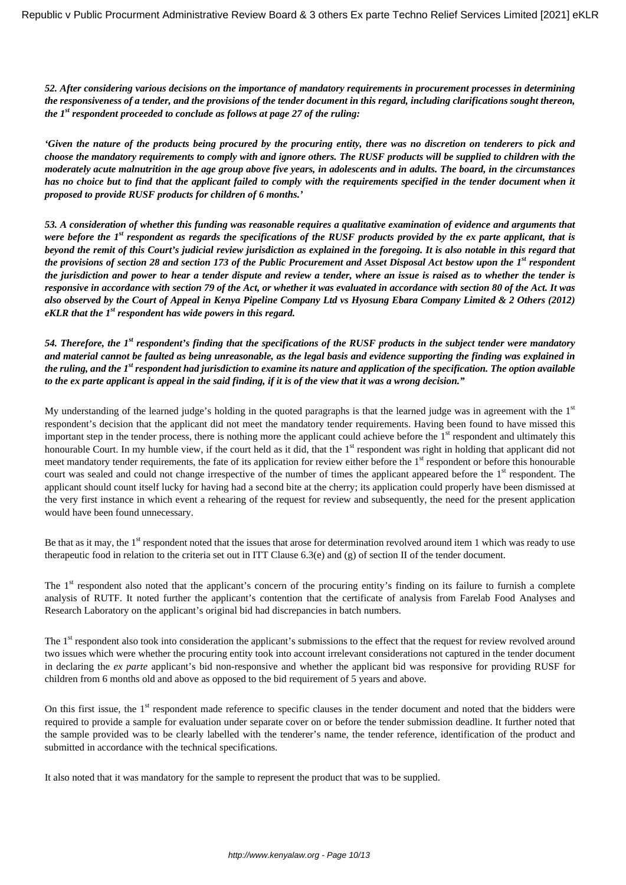*52. After considering various decisions on the importance of mandatory requirements in procurement processes in determining the responsiveness of a tender, and the provisions of the tender document in this regard, including clarifications sought thereon, the 1st respondent proceeded to conclude as follows at page 27 of the ruling:*

*'Given the nature of the products being procured by the procuring entity, there was no discretion on tenderers to pick and choose the mandatory requirements to comply with and ignore others. The RUSF products will be supplied to children with the moderately acute malnutrition in the age group above five years, in adolescents and in adults. The board, in the circumstances* has no choice but to find that the applicant failed to comply with the requirements specified in the tender document when it *proposed to provide RUSF products for children of 6 months.'*

*53. A consideration of whether this funding was reasonable requires a qualitative examination of evidence and arguments that were before the 1st respondent as regards the specifications of the RUSF products provided by the ex parte applicant, that is beyond the remit of this Court's judicial review jurisdiction as explained in the foregoing. It is also notable in this regard that the provisions of section 28 and section 173 of the Public Procurement and Asset Disposal Act bestow upon the 1st respondent the jurisdiction and power to hear a tender dispute and review a tender, where an issue is raised as to whether the tender is responsive in accordance with section 79 of the Act, or whether it was evaluated in accordance with section 80 of the Act. It was also observed by the Court of Appeal in Kenya Pipeline Company Ltd vs Hyosung Ebara Company Limited & 2 Others (2012) eKLR that the 1st respondent has wide powers in this regard.*

*54. Therefore, the 1st respondent's finding that the specifications of the RUSF products in the subject tender were mandatory and material cannot be faulted as being unreasonable, as the legal basis and evidence supporting the finding was explained in the ruling, and the 1st respondent had jurisdiction to examine its nature and application of the specification. The option available to the ex parte applicant is appeal in the said finding, if it is of the view that it was a wrong decision."*

My understanding of the learned judge's holding in the quoted paragraphs is that the learned judge was in agreement with the  $1<sup>st</sup>$ respondent's decision that the applicant did not meet the mandatory tender requirements. Having been found to have missed this important step in the tender process, there is nothing more the applicant could achieve before the  $1<sup>st</sup>$  respondent and ultimately this honourable Court. In my humble view, if the court held as it did, that the 1<sup>st</sup> respondent was right in holding that applicant did not meet mandatory tender requirements, the fate of its application for review either before the 1<sup>st</sup> respondent or before this honourable court was sealed and could not change irrespective of the number of times the applicant appeared before the 1<sup>st</sup> respondent. The applicant should count itself lucky for having had a second bite at the cherry; its application could properly have been dismissed at the very first instance in which event a rehearing of the request for review and subsequently, the need for the present application would have been found unnecessary.

Be that as it may, the 1<sup>st</sup> respondent noted that the issues that arose for determination revolved around item 1 which was ready to use therapeutic food in relation to the criteria set out in ITT Clause 6.3(e) and (g) of section II of the tender document.

The 1<sup>st</sup> respondent also noted that the applicant's concern of the procuring entity's finding on its failure to furnish a complete analysis of RUTF. It noted further the applicant's contention that the certificate of analysis from Farelab Food Analyses and Research Laboratory on the applicant's original bid had discrepancies in batch numbers.

The 1<sup>st</sup> respondent also took into consideration the applicant's submissions to the effect that the request for review revolved around two issues which were whether the procuring entity took into account irrelevant considerations not captured in the tender document in declaring the *ex parte* applicant's bid non-responsive and whether the applicant bid was responsive for providing RUSF for children from 6 months old and above as opposed to the bid requirement of 5 years and above.

On this first issue, the 1<sup>st</sup> respondent made reference to specific clauses in the tender document and noted that the bidders were required to provide a sample for evaluation under separate cover on or before the tender submission deadline. It further noted that the sample provided was to be clearly labelled with the tenderer's name, the tender reference, identification of the product and submitted in accordance with the technical specifications.

It also noted that it was mandatory for the sample to represent the product that was to be supplied.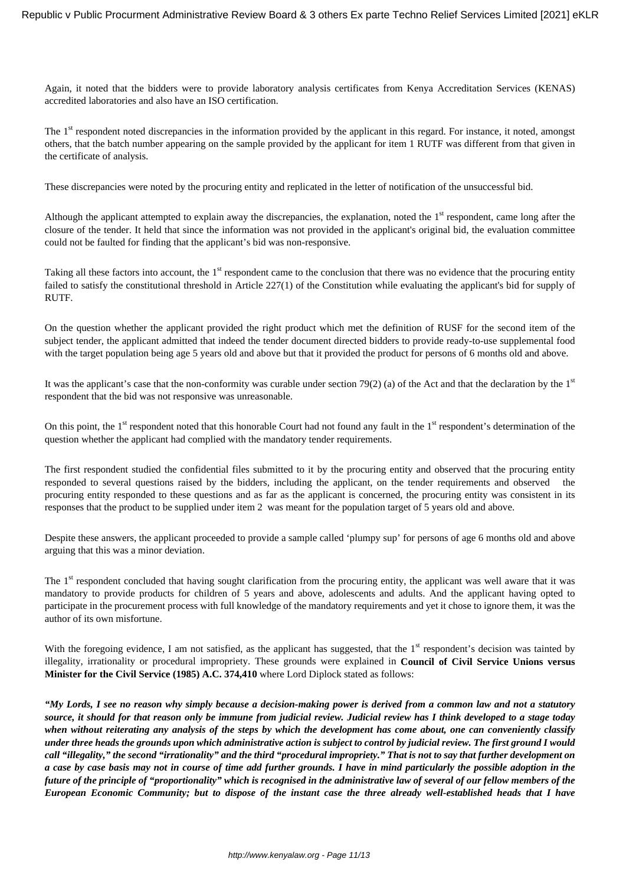Again, it noted that the bidders were to provide laboratory analysis certificates from Kenya Accreditation Services (KENAS) accredited laboratories and also have an ISO certification.

The 1<sup>st</sup> respondent noted discrepancies in the information provided by the applicant in this regard. For instance, it noted, amongst others, that the batch number appearing on the sample provided by the applicant for item 1 RUTF was different from that given in the certificate of analysis.

These discrepancies were noted by the procuring entity and replicated in the letter of notification of the unsuccessful bid.

Although the applicant attempted to explain away the discrepancies, the explanation, noted the  $1<sup>st</sup>$  respondent, came long after the closure of the tender. It held that since the information was not provided in the applicant's original bid, the evaluation committee could not be faulted for finding that the applicant's bid was non-responsive.

Taking all these factors into account, the 1<sup>st</sup> respondent came to the conclusion that there was no evidence that the procuring entity failed to satisfy the constitutional threshold in Article 227(1) of the Constitution while evaluating the applicant's bid for supply of RUTF.

On the question whether the applicant provided the right product which met the definition of RUSF for the second item of the subject tender, the applicant admitted that indeed the tender document directed bidders to provide ready-to-use supplemental food with the target population being age 5 years old and above but that it provided the product for persons of 6 months old and above.

It was the applicant's case that the non-conformity was curable under section 79(2) (a) of the Act and that the declaration by the  $1<sup>st</sup>$ respondent that the bid was not responsive was unreasonable.

On this point, the  $1<sup>st</sup>$  respondent noted that this honorable Court had not found any fault in the  $1<sup>st</sup>$  respondent's determination of the question whether the applicant had complied with the mandatory tender requirements.

The first respondent studied the confidential files submitted to it by the procuring entity and observed that the procuring entity responded to several questions raised by the bidders, including the applicant, on the tender requirements and observed the procuring entity responded to these questions and as far as the applicant is concerned, the procuring entity was consistent in its responses that the product to be supplied under item 2 was meant for the population target of 5 years old and above.

Despite these answers, the applicant proceeded to provide a sample called 'plumpy sup' for persons of age 6 months old and above arguing that this was a minor deviation.

The 1<sup>st</sup> respondent concluded that having sought clarification from the procuring entity, the applicant was well aware that it was mandatory to provide products for children of 5 years and above, adolescents and adults. And the applicant having opted to participate in the procurement process with full knowledge of the mandatory requirements and yet it chose to ignore them, it was the author of its own misfortune.

With the foregoing evidence, I am not satisfied, as the applicant has suggested, that the 1<sup>st</sup> respondent's decision was tainted by illegality, irrationality or procedural impropriety. These grounds were explained in **Council of Civil Service Unions versus Minister for the Civil Service (1985) A.C. 374,410** where Lord Diplock stated as follows:

*"My Lords, I see no reason why simply because a decision-making power is derived from a common law and not a statutory source, it should for that reason only be immune from judicial review. Judicial review has I think developed to a stage today when without reiterating any analysis of the steps by which the development has come about, one can conveniently classify under three heads the grounds upon which administrative action is subject to control by judicial review. The first ground I would call "illegality," the second "irrationality" and the third "procedural impropriety." That is not to say that further development on a case by case basis may not in course of time add further grounds. I have in mind particularly the possible adoption in the future of the principle of "proportionality" which is recognised in the administrative law of several of our fellow members of the European Economic Community; but to dispose of the instant case the three already well-established heads that I have*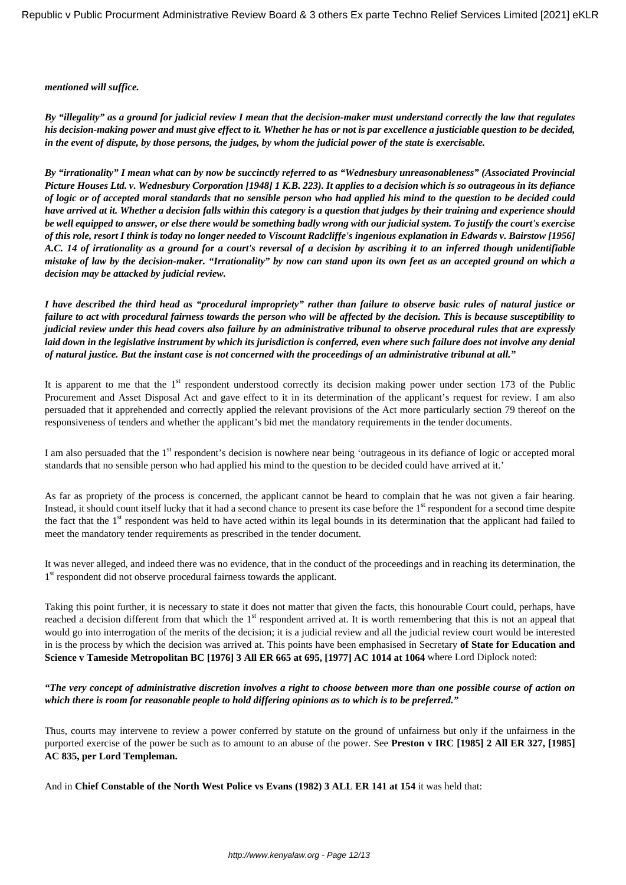#### *mentioned will suffice.*

*By "illegality" as a ground for judicial review I mean that the decision-maker must understand correctly the law that regulates his decision-making power and must give effect to it. Whether he has or not is par excellence a justiciable question to be decided, in the event of dispute, by those persons, the judges, by whom the judicial power of the state is exercisable.*

*By "irrationality" I mean what can by now be succinctly referred to as "Wednesbury unreasonableness" (Associated Provincial Picture Houses Ltd. v. Wednesbury Corporation [1948] 1 K.B. 223). It applies to a decision which is so outrageous in its defiance of logic or of accepted moral standards that no sensible person who had applied his mind to the question to be decided could have arrived at it. Whether a decision falls within this category is a question that judges by their training and experience should be well equipped to answer, or else there would be something badly wrong with our judicial system. To justify the court's exercise of this role, resort I think is today no longer needed to Viscount Radcliffe's ingenious explanation in Edwards v. Bairstow [1956] A.C. 14 of irrationality as a ground for a court's reversal of a decision by ascribing it to an inferred though unidentifiable mistake of law by the decision-maker. "Irrationality" by now can stand upon its own feet as an accepted ground on which a decision may be attacked by judicial review.*

*I have described the third head as "procedural impropriety" rather than failure to observe basic rules of natural justice or failure to act with procedural fairness towards the person who will be affected by the decision. This is because susceptibility to judicial review under this head covers also failure by an administrative tribunal to observe procedural rules that are expressly laid down in the legislative instrument by which its jurisdiction is conferred, even where such failure does not involve any denial of natural justice. But the instant case is not concerned with the proceedings of an administrative tribunal at all."* 

It is apparent to me that the  $1<sup>st</sup>$  respondent understood correctly its decision making power under section 173 of the Public Procurement and Asset Disposal Act and gave effect to it in its determination of the applicant's request for review. I am also persuaded that it apprehended and correctly applied the relevant provisions of the Act more particularly section 79 thereof on the responsiveness of tenders and whether the applicant's bid met the mandatory requirements in the tender documents.

I am also persuaded that the 1<sup>st</sup> respondent's decision is nowhere near being 'outrageous in its defiance of logic or accepted moral standards that no sensible person who had applied his mind to the question to be decided could have arrived at it.'

As far as propriety of the process is concerned, the applicant cannot be heard to complain that he was not given a fair hearing. Instead, it should count itself lucky that it had a second chance to present its case before the 1<sup>st</sup> respondent for a second time despite the fact that the 1<sup>st</sup> respondent was held to have acted within its legal bounds in its determination that the applicant had failed to meet the mandatory tender requirements as prescribed in the tender document.

It was never alleged, and indeed there was no evidence, that in the conduct of the proceedings and in reaching its determination, the 1<sup>st</sup> respondent did not observe procedural fairness towards the applicant.

Taking this point further, it is necessary to state it does not matter that given the facts, this honourable Court could, perhaps, have reached a decision different from that which the 1<sup>st</sup> respondent arrived at. It is worth remembering that this is not an appeal that would go into interrogation of the merits of the decision; it is a judicial review and all the judicial review court would be interested in is the process by which the decision was arrived at. This points have been emphasised in Secretary **of State for Education and Science v Tameside Metropolitan BC [1976] 3 All ER 665 at 695, [1977] AC 1014 at 1064** where Lord Diplock noted:

### *"The very concept of administrative discretion involves a right to choose between more than one possible course of action on which there is room for reasonable people to hold differing opinions as to which is to be preferred."*

Thus, courts may intervene to review a power conferred by statute on the ground of unfairness but only if the unfairness in the purported exercise of the power be such as to amount to an abuse of the power. See **Preston v IRC [1985] 2 All ER 327, [1985] AC 835, per Lord Templeman.**

And in **Chief Constable of the North West Police vs Evans (1982) 3 ALL ER 141 at 154** it was held that: